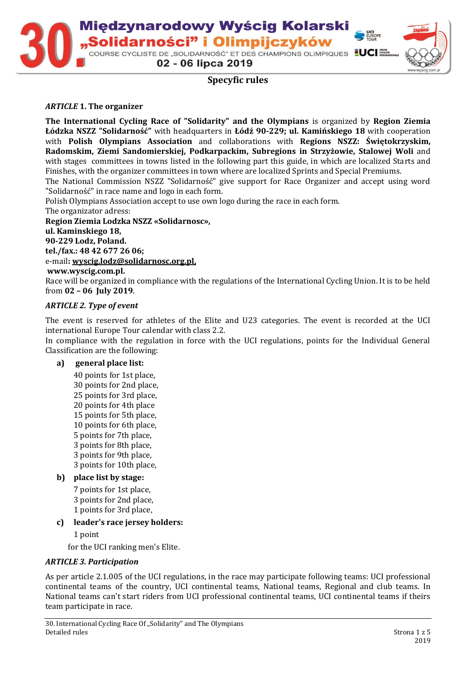

02 - 06 lipca 2019

# **Specyfic rules**

#### *ARTICLE* **1. The organizer**

**The International Cycling Race of "Solidarity" and the Olympians** is organized by **Region Ziemia Łódzka NSZZ "Solidarność"** with headquarters in **Łódź 90-229; ul. Kamińskiego 18** with cooperation with **Polish Olympians Association** and collaborations with **Regions NSZZ: Świętokrzyskim, Radomskim, Ziemi Sandomierskiej, Podkarpackim, Subregions in Strzyżowie, Stalowej Woli** and with stages committees in towns listed in the following part this guide, in which are localized Starts and Finishes, with the organizer committees in town where are localized Sprints and Special Premiums.

The National Commission NSZZ "Solidarność" give support for Race Organizer and accept using word "Solidarność" in race name and logo in each form.

Polish Olympians Association accept to use own logo during the race in each form.

The organizator adress:

**Region Ziemia Lodzka NSZZ «Solidarnosc», ul. Kaminskiego 18, 90-229 Lodz, Poland. tel./fax.: 48 42 677 26 06;**  e-mail**[: wyscig.lodz@solidarnosc.org.pl,](mailto:wyscig.lodz@solidarnosc.org.pl) www.wyscig.com.pl.**

Race will be organized in compliance with the regulations of the International Cycling Union. It is to be held from **02 – 06 July 2019**.

#### *ARTICLE 2. Type of event*

The event is reserved for athletes of the Elite and U23 categories. The event is recorded at the UCI international Europe Tour calendar with class 2.2.

In compliance with the regulation in force with the UCI regulations, points for the Individual General Classification are the following:

#### **a) general place list:**

40 points for 1st place, 30 points for 2nd place, 25 points for 3rd place, 20 points for 4th place 15 points for 5th place, 10 points for 6th place, 5 points for 7th place, 3 points for 8th place, 3 points for 9th place, 3 points for 10th place,

### **b) place list by stage:**

7 points for 1st place, 3 points for 2nd place, 1 points for 3rd place,

#### **c) leader's race jersey holders:**

1 point

for the UCI ranking men's Elite.

#### *ARTICLE 3. Participation*

As per article 2.1.005 of the UCI regulations, in the race may participate following teams: UCI professional continental teams of the country, UCI continental teams, National teams, Regional and club teams. In National teams can't start riders from UCI professional continental teams, UCI continental teams if theirs team participate in race.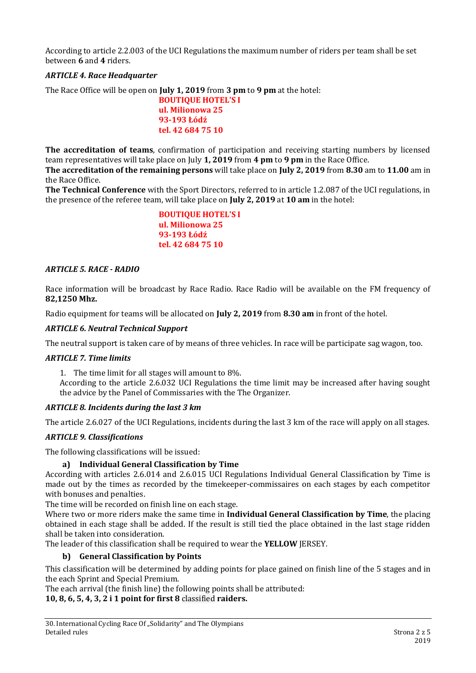According to article 2.2.003 of the UCI Regulations the maximum number of riders per team shall be set between **6** and **4** riders.

# *ARTICLE 4. Race Headquarter*

The Race Office will be open on **July 1, 2019** from **3 pm** to **9 pm** at the hotel:

**BOUTIQUE HOTEL'S I ul. Milionowa 25 93-193 Łódź tel. 42 684 75 10**

**The accreditation of teams**, confirmation of participation and receiving starting numbers by licensed team representatives will take place on July **1, 2019** from **4 pm** to **9 pm** in the Race Office.

**The accreditation of the remaining persons** will take place on **July 2, 2019** from **8.30** am to **11.00** am in the Race Office.

**The Technical Conference** with the Sport Directors, referred to in article 1.2.087 of the UCI regulations, in the presence of the referee team, will take place on **July 2, 2019** at **10 am** in the hotel:

> **BOUTIQUE HOTEL'S I ul. Milionowa 25 93-193 Łódź tel. 42 684 75 10**

### *ARTICLE 5. RACE - RADIO*

Race information will be broadcast by Race Radio. Race Radio will be available on the FM frequency of **82,1250 Mhz.**

Radio equipment for teams will be allocated on **July 2, 2019** from **8.30 am** in front of the hotel.

#### *ARTICLE 6. Neutral Technical Support*

The neutral support is taken care of by means of three vehicles. In race will be participate sag wagon, too.

#### *ARTICLE 7. Time limits*

1. The time limit for all stages will amount to 8%.

According to the article 2.6.032 UCI Regulations the time limit may be increased after having sought the advice by the Panel of Commissaries with the The Organizer.

### *ARTICLE 8. Incidents during the last 3 km*

The article 2.6.027 of the UCI Regulations, incidents during the last 3 km of the race will apply on all stages.

### *ARTICLE 9. Classifications*

The following classifications will be issued:

### **a) Individual General Classification by Time**

According with articles 2.6.014 and 2.6.015 UCI Regulations Individual General Classification by Time is made out by the times as recorded by the timekeeper-commissaires on each stages by each competitor with bonuses and penalties.

The time will be recorded on finish line on each stage.

Where two or more riders make the same time in **Individual General Classification by Time**, the placing obtained in each stage shall be added. If the result is still tied the place obtained in the last stage ridden shall be taken into consideration.

The leader of this classification shall be required to wear the **YELLOW** JERSEY.

### **b) General Classification by Points**

This classification will be determined by adding points for place gained on finish line of the 5 stages and in the each Sprint and Special Premium.

The each arrival (the finish line) the following points shall be attributed:

### **10, 8, 6, 5, 4, 3, 2 i 1 point for first 8** classified **raiders.**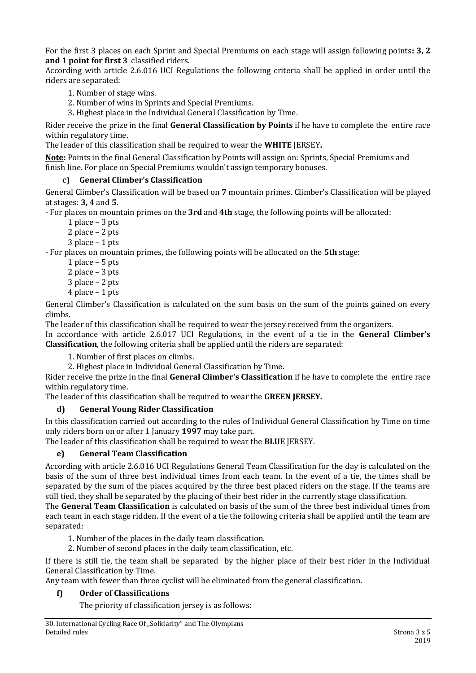For the first 3 places on each Sprint and Special Premiums on each stage will assign following points**: 3, 2 and 1 point for first 3** classified riders.

According with article 2.6.016 UCI Regulations the following criteria shall be applied in order until the riders are separated:

- 1. Number of stage wins.
- 2. Number of wins in Sprints and Special Premiums.
- 3. Highest place in the Individual General Classification by Time.

Rider receive the prize in the final **General Classification by Points** if he have to complete the entire race within regulatory time.

The leader of this classification shall be required to wear the **WHITE** JERSEY**.**

**Note:** Points in the final General Classification by Points will assign on: Sprints, Special Premiums and finish line. For place on Special Premiums wouldn't assign temporary bonuses.

### **c) General Climber's Classification**

General Climber's Classification will be based on **7** mountain primes. Climber's Classification will be played at stages: **3, 4** and **5**.

- For places on mountain primes on the **3rd** and **4th** stage, the following points will be allocated:

- 1 place 3 pts
- 2 place 2 pts
- 3 place 1 pts

- For places on mountain primes, the following points will be allocated on the **5th** stage:

- 1 place 5 pts
- 2 place 3 pts
- 3 place 2 pts
- 4 place 1 pts

General Climber's Classification is calculated on the sum basis on the sum of the points gained on every climbs.

The leader of this classification shall be required to wear the jersey received from the organizers.

In accordance with article 2.6.017 UCI Regulations, in the event of a tie in the **General Climber's Classification**, the following criteria shall be applied until the riders are separated:

1. Number of first places on climbs.

2. Highest place in Individual General Classification by Time.

Rider receive the prize in the final **General Climber's Classification** if he have to complete the entire race within regulatory time.

The leader of this classification shall be required to wear the **GREEN JERSEY.**

### **d) General Young Rider Classification**

In this classification carried out according to the rules of Individual General Classification by Time on time only riders born on or after 1 January **1997** may take part.

The leader of this classification shall be required to wear the **BLUE** JERSEY.

### **e) General Team Classification**

According with article 2.6.016 UCI Regulations General Team Classification for the day is calculated on the basis of the sum of three best individual times from each team. In the event of a tie, the times shall be separated by the sum of the places acquired by the three best placed riders on the stage. If the teams are still tied, they shall be separated by the placing of their best rider in the currently stage classification.

The **General Team Classification** is calculated on basis of the sum of the three best individual times from each team in each stage ridden. If the event of a tie the following criteria shall be applied until the team are separated:

- 1. Number of the places in the daily team classification.
- 2. Number of second places in the daily team classification, etc.

If there is still tie, the team shall be separated by the higher place of their best rider in the Individual General Classification by Time.

Any team with fewer than three cyclist will be eliminated from the general classification.

# **f) Order of Classifications**

The priority of classification jersey is as follows: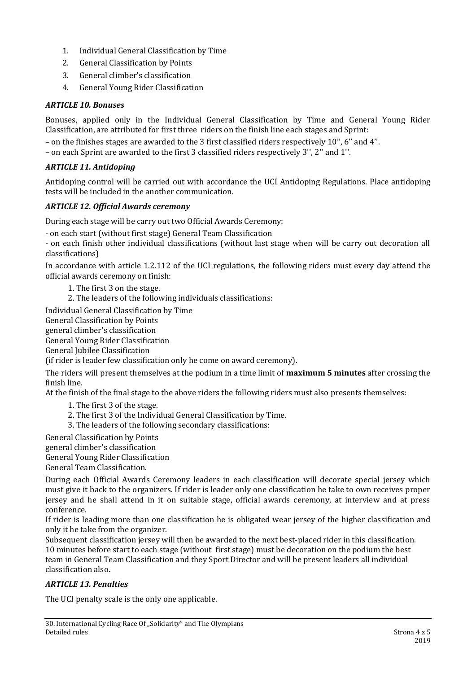- 1. Individual General Classification by Time
- 2. General Classification by Points
- 3. General climber's classification
- 4. General Young Rider Classification

#### *ARTICLE 10. Bonuses*

Bonuses, applied only in the Individual General Classification by Time and General Young Rider Classification, are attributed for first three riders on the finish line each stages and Sprint:

– on the finishes stages are awarded to the 3 first classified riders respectively 10'', 6'' and 4''.

– on each Sprint are awarded to the first 3 classified riders respectively 3'', 2'' and 1''.

## *ARTICLE 11. Antidoping*

Antidoping control will be carried out with accordance the UCI Antidoping Regulations. Place antidoping tests will be included in the another communication.

# *ARTICLE 12. Official Awards ceremony*

During each stage will be carry out two Official Awards Ceremony:

- on each start (without first stage) General Team Classification

- on each finish other individual classifications (without last stage when will be carry out decoration all classifications)

In accordance with article 1.2.112 of the UCI regulations, the following riders must every day attend the official awards ceremony on finish:

1. The first 3 on the stage.

2. The leaders of the following individuals classifications:

Individual General Classification by Time

General Classification by Points

general climber's classification

General Young Rider Classification

General Jubilee Classification

(if rider is leader few classification only he come on award ceremony).

The riders will present themselves at the podium in a time limit of **maximum 5 minutes** after crossing the finish line.

At the finish of the final stage to the above riders the following riders must also presents themselves:

1. The first 3 of the stage.

- 2. The first 3 of the Individual General Classification by Time.
- 3. The leaders of the following secondary classifications:

General Classification by Points

general climber's classification

General Young Rider Classification

General Team Classification.

During each Official Awards Ceremony leaders in each classification will decorate special jersey which must give it back to the organizers. If rider is leader only one classification he take to own receives proper jersey and he shall attend in it on suitable stage, official awards ceremony, at interview and at press conference.

If rider is leading more than one classification he is obligated wear jersey of the higher classification and only it he take from the organizer.

Subsequent classification jersey will then be awarded to the next best-placed rider in this classification. 10 minutes before start to each stage (without first stage) must be decoration on the podium the best team in General Team Classification and they Sport Director and will be present leaders all individual classification also.

### *ARTICLE 13. Penalties*

The UCI penalty scale is the only one applicable.